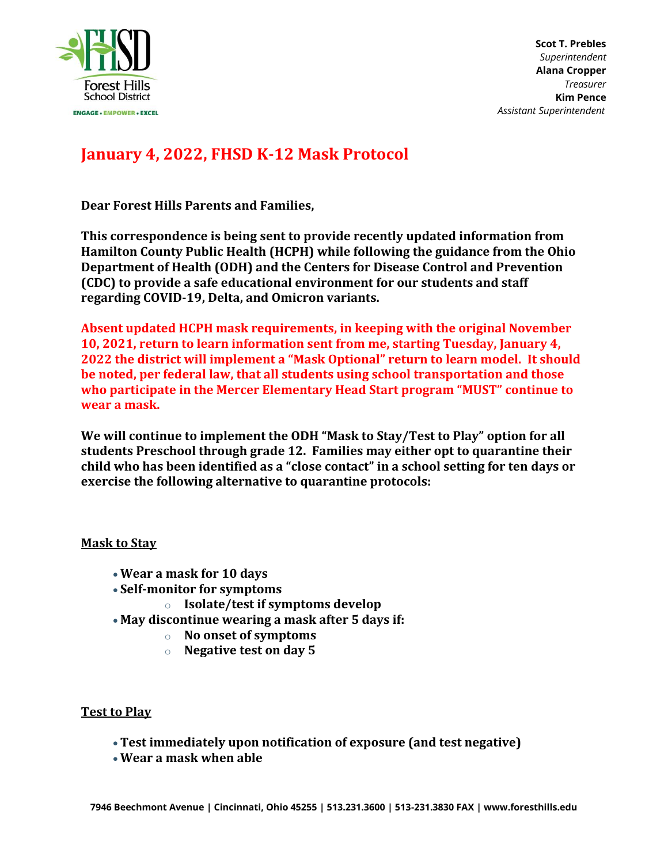

**Scot T. Prebles** *Superintendent* **Alana Cropper** *Treasurer* **Kim Pence**  *Assistant Superintendent*

# **January 4, 2022, FHSD K-12 Mask Protocol**

**Dear Forest Hills Parents and Families,**

**This correspondence is being sent to provide recently updated information from Hamilton County Public Health (HCPH) while following the guidance from the Ohio Department of Health (ODH) and the Centers for Disease Control and Prevention (CDC) to provide a safe educational environment for our students and staff regarding COVID-19, Delta, and Omicron variants.**

**Absent updated HCPH mask requirements, in keeping with the original November 10, 2021, return to learn information sent from me, starting Tuesday, January 4, 2022 the district will implement a "Mask Optional" return to learn model. It should be noted, per federal law, that all students using school transportation and those who participate in the Mercer Elementary Head Start program "MUST" continue to wear a mask.** 

**We will continue to implement the ODH "Mask to Stay/Test to Play" option for all students Preschool through grade 12. Families may either opt to quarantine their child who has been identified as a "close contact" in a school setting for ten days or exercise the following alternative to quarantine protocols:**

# **Mask to Stay**

- **Wear a mask for 10 days**
- **Self-monitor for symptoms**
	- o **Isolate/test if symptoms develop**
- **May discontinue wearing a mask after 5 days if:**
	- o **No onset of symptoms**
	- o **Negative test on day 5**

### **Test to Play**

- **Test immediately upon notification of exposure (and test negative)**
- **Wear a mask when able**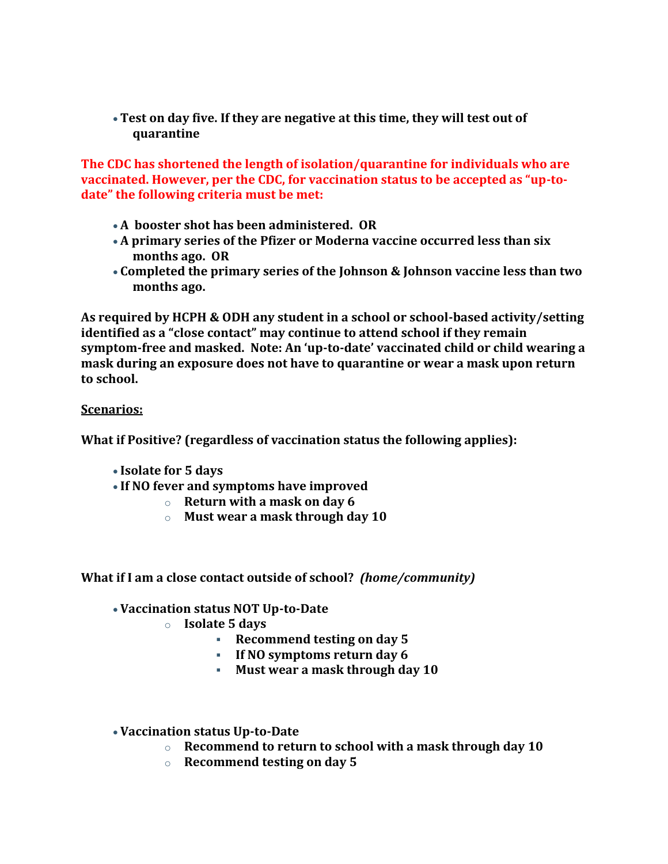**Test on day five. If they are negative at this time, they will test out of quarantine**

**The CDC has shortened the length of isolation/quarantine for individuals who are vaccinated. However, per the CDC, for vaccination status to be accepted as "up-todate" the following criteria must be met:**

- **A booster shot has been administered. OR**
- **A primary series of the Pfizer or Moderna vaccine occurred less than six months ago. OR**
- **Completed the primary series of the Johnson & Johnson vaccine less than two months ago.**

**As required by HCPH & ODH any student in a school or school-based activity/setting identified as a "close contact" may continue to attend school if they remain symptom-free and masked. Note: An 'up-to-date' vaccinated child or child wearing a mask during an exposure does not have to quarantine or wear a mask upon return to school.**

# **Scenarios:**

**What if Positive? (regardless of vaccination status the following applies):**

- **Isolate for 5 days**
- **If NO fever and symptoms have improved**
	- o **Return with a mask on day 6**
	- o **Must wear a mask through day 10**

# **What if I am a close contact outside of school?** *(home/community)*

- **Vaccination status NOT Up-to-Date**
	- o **Isolate 5 days**
		- **Recommend testing on day 5**
		- **If NO symptoms return day 6**
		- **Must wear a mask through day 10**
- **Vaccination status Up-to-Date**
	- o **Recommend to return to school with a mask through day 10**
	- o **Recommend testing on day 5**